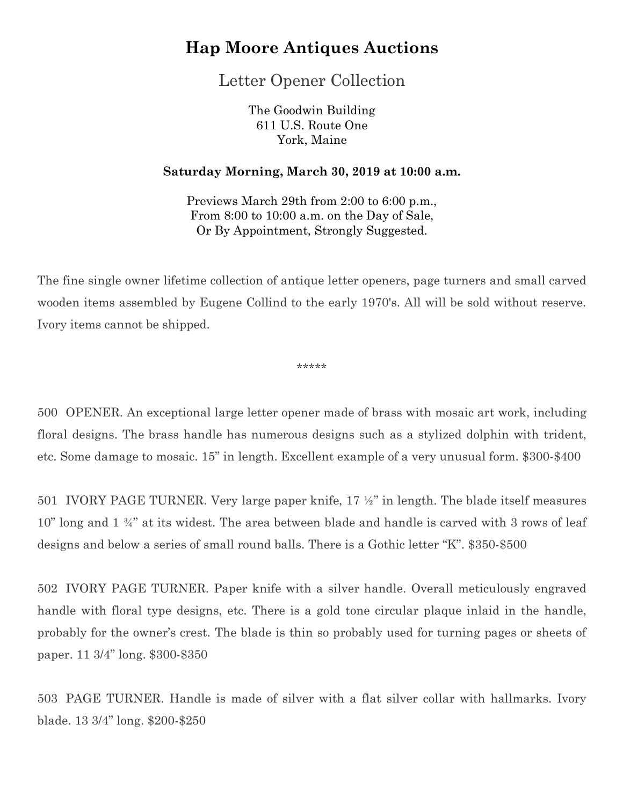Letter Opener Collection

The Goodwin Building 611 U.S. Route One York, Maine

#### **Saturday Morning, March 30, 2019 at 10:00 a.m.**

Previews March 29th from 2:00 to 6:00 p.m., From 8:00 to 10:00 a.m. on the Day of Sale, Or By Appointment, Strongly Suggested.

The fine single owner lifetime collection of antique letter openers, page turners and small carved wooden items assembled by Eugene Collind to the early 1970's. All will be sold without reserve. Ivory items cannot be shipped.

\*\*\*\*\*

500 OPENER. An exceptional large letter opener made of brass with mosaic art work, including floral designs. The brass handle has numerous designs such as a stylized dolphin with trident, etc. Some damage to mosaic. 15" in length. Excellent example of a very unusual form. \$300-\$400

501 IVORY PAGE TURNER. Very large paper knife, 17 ½" in length. The blade itself measures 10" long and 1 ¾" at its widest. The area between blade and handle is carved with 3 rows of leaf designs and below a series of small round balls. There is a Gothic letter "K". \$350-\$500

502 IVORY PAGE TURNER. Paper knife with a silver handle. Overall meticulously engraved handle with floral type designs, etc. There is a gold tone circular plaque inlaid in the handle, probably for the owner's crest. The blade is thin so probably used for turning pages or sheets of paper. 11 3/4" long. \$300-\$350

503 PAGE TURNER. Handle is made of silver with a flat silver collar with hallmarks. Ivory blade. 13 3/4" long. \$200-\$250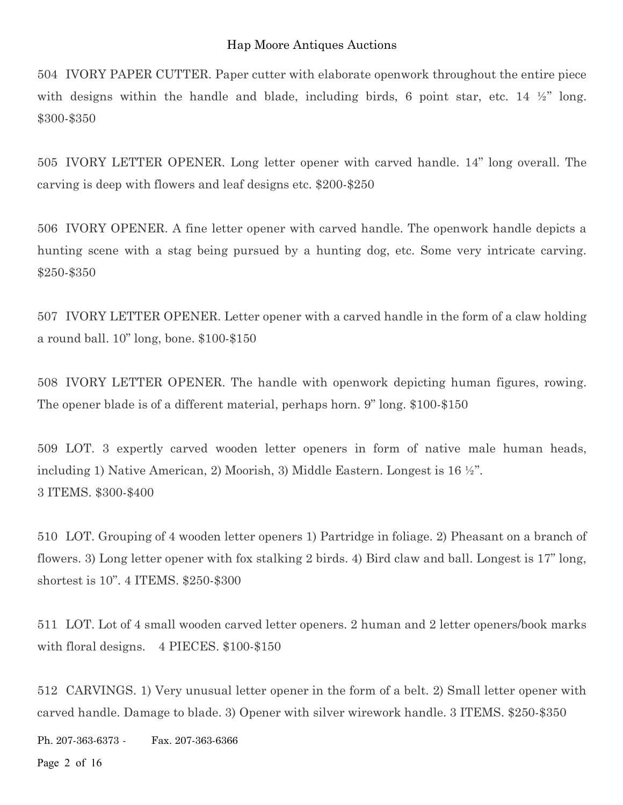504 IVORY PAPER CUTTER. Paper cutter with elaborate openwork throughout the entire piece with designs within the handle and blade, including birds, 6 point star, etc. 14  $\frac{1}{2}$  long. \$300-\$350

505 IVORY LETTER OPENER. Long letter opener with carved handle. 14" long overall. The carving is deep with flowers and leaf designs etc. \$200-\$250

506 IVORY OPENER. A fine letter opener with carved handle. The openwork handle depicts a hunting scene with a stag being pursued by a hunting dog, etc. Some very intricate carving. \$250-\$350

507 IVORY LETTER OPENER. Letter opener with a carved handle in the form of a claw holding a round ball. 10" long, bone. \$100-\$150

508 IVORY LETTER OPENER. The handle with openwork depicting human figures, rowing. The opener blade is of a different material, perhaps horn. 9" long. \$100-\$150

509 LOT. 3 expertly carved wooden letter openers in form of native male human heads, including 1) Native American, 2) Moorish, 3) Middle Eastern. Longest is 16 ½". 3 ITEMS. \$300-\$400

510 LOT. Grouping of 4 wooden letter openers 1) Partridge in foliage. 2) Pheasant on a branch of flowers. 3) Long letter opener with fox stalking 2 birds. 4) Bird claw and ball. Longest is 17" long, shortest is 10". 4 ITEMS. \$250-\$300

511 LOT. Lot of 4 small wooden carved letter openers. 2 human and 2 letter openers/book marks with floral designs. 4 PIECES. \$100-\$150

512 CARVINGS. 1) Very unusual letter opener in the form of a belt. 2) Small letter opener with carved handle. Damage to blade. 3) Opener with silver wirework handle. 3 ITEMS. \$250-\$350

Ph. 207-363-6373 - Fax. 207-363-6366

Page 2 of 16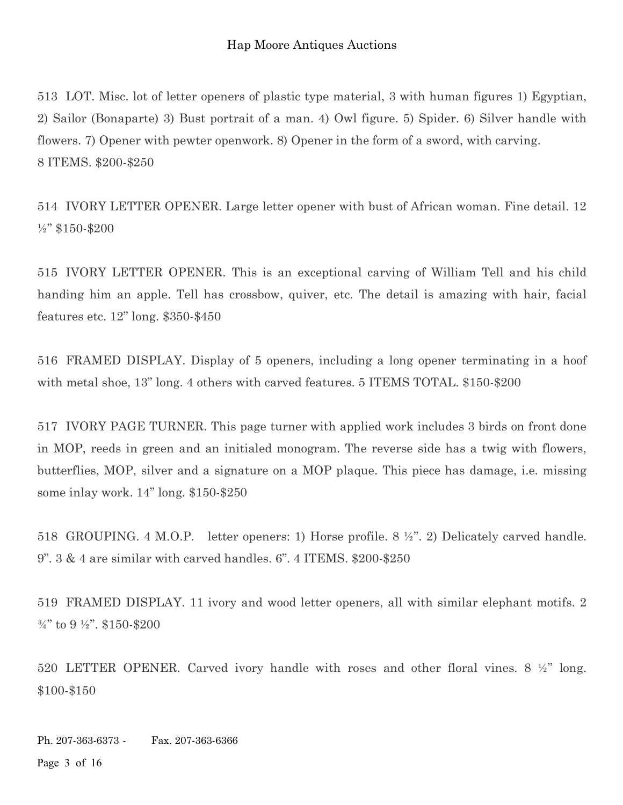513 LOT. Misc. lot of letter openers of plastic type material, 3 with human figures 1) Egyptian, 2) Sailor (Bonaparte) 3) Bust portrait of a man. 4) Owl figure. 5) Spider. 6) Silver handle with flowers. 7) Opener with pewter openwork. 8) Opener in the form of a sword, with carving. 8 ITEMS. \$200-\$250

514 IVORY LETTER OPENER. Large letter opener with bust of African woman. Fine detail. 12 ½" \$150-\$200

515 IVORY LETTER OPENER. This is an exceptional carving of William Tell and his child handing him an apple. Tell has crossbow, quiver, etc. The detail is amazing with hair, facial features etc. 12" long. \$350-\$450

516 FRAMED DISPLAY. Display of 5 openers, including a long opener terminating in a hoof with metal shoe, 13" long. 4 others with carved features. 5 ITEMS TOTAL. \$150-\$200

517 IVORY PAGE TURNER. This page turner with applied work includes 3 birds on front done in MOP, reeds in green and an initialed monogram. The reverse side has a twig with flowers, butterflies, MOP, silver and a signature on a MOP plaque. This piece has damage, i.e. missing some inlay work. 14" long. \$150-\$250

518 GROUPING. 4 M.O.P. letter openers: 1) Horse profile. 8 ½". 2) Delicately carved handle. 9". 3 & 4 are similar with carved handles. 6". 4 ITEMS. \$200-\$250

519 FRAMED DISPLAY. 11 ivory and wood letter openers, all with similar elephant motifs. 2 ¾" to 9 ½". \$150-\$200

520 LETTER OPENER. Carved ivory handle with roses and other floral vines. 8 ½" long. \$100-\$150

Ph. 207-363-6373 - Fax. 207-363-6366

Page 3 of 16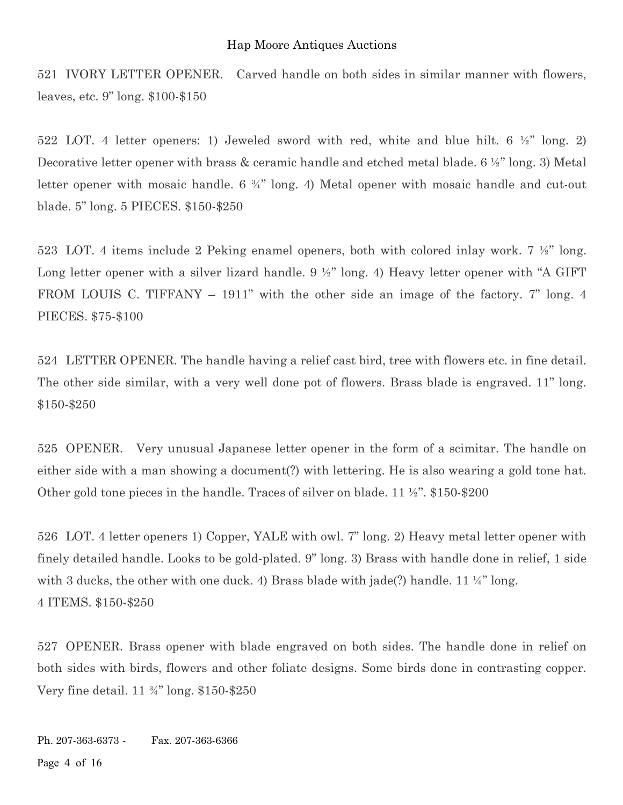521 IVORY LETTER OPENER. Carved handle on both sides in similar manner with flowers, leaves, etc. 9" long. \$100-\$150

522 LOT. 4 letter openers: 1) Jeweled sword with red, white and blue hilt. 6 ½" long. 2) Decorative letter opener with brass & ceramic handle and etched metal blade.  $6\frac{1}{2}$ " long. 3) Metal letter opener with mosaic handle. 6 ¾" long. 4) Metal opener with mosaic handle and cut-out blade. 5" long. 5 PIECES. \$150-\$250

523 LOT. 4 items include 2 Peking enamel openers, both with colored inlay work. 7 ½" long. Long letter opener with a silver lizard handle. 9  $\frac{1}{2}$ " long. 4) Heavy letter opener with "A GIFT FROM LOUIS C. TIFFANY – 1911" with the other side an image of the factory. 7" long. 4 PIECES. \$75-\$100

524 LETTER OPENER. The handle having a relief cast bird, tree with flowers etc. in fine detail. The other side similar, with a very well done pot of flowers. Brass blade is engraved. 11" long. \$150-\$250

525 OPENER. Very unusual Japanese letter opener in the form of a scimitar. The handle on either side with a man showing a document(?) with lettering. He is also wearing a gold tone hat. Other gold tone pieces in the handle. Traces of silver on blade. 11 ½". \$150-\$200

526 LOT. 4 letter openers 1) Copper, YALE with owl. 7" long. 2) Heavy metal letter opener with finely detailed handle. Looks to be gold-plated. 9" long. 3) Brass with handle done in relief, 1 side with 3 ducks, the other with one duck. 4) Brass blade with jade(?) handle.  $11\frac{1}{4}$ " long. 4 ITEMS. \$150-\$250

527 OPENER. Brass opener with blade engraved on both sides. The handle done in relief on both sides with birds, flowers and other foliate designs. Some birds done in contrasting copper. Very fine detail. 11 ¾" long. \$150-\$250

Ph. 207-363-6373 - Fax. 207-363-6366 Page 4 of 16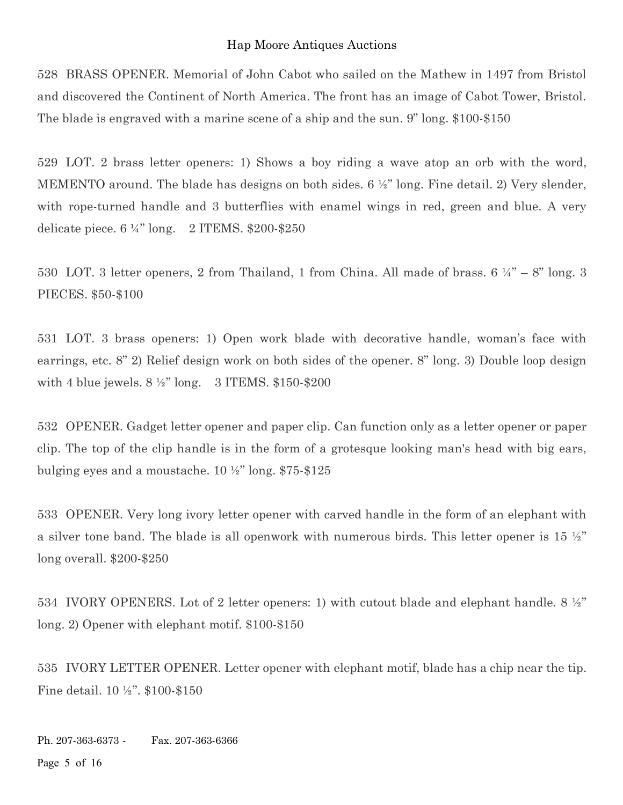528 BRASS OPENER. Memorial of John Cabot who sailed on the Mathew in 1497 from Bristol and discovered the Continent of North America. The front has an image of Cabot Tower, Bristol. The blade is engraved with a marine scene of a ship and the sun. 9" long. \$100-\$150

529 LOT. 2 brass letter openers: 1) Shows a boy riding a wave atop an orb with the word, MEMENTO around. The blade has designs on both sides. 6 ½" long. Fine detail. 2) Very slender, with rope-turned handle and 3 butterflies with enamel wings in red, green and blue. A very delicate piece.  $6\frac{1}{4}$ " long. 2 ITEMS. \$200-\$250

530 LOT. 3 letter openers, 2 from Thailand, 1 from China. All made of brass.  $6\frac{1}{4}$  – 8" long. 3 PIECES. \$50-\$100

531 LOT. 3 brass openers: 1) Open work blade with decorative handle, woman's face with earrings, etc. 8" 2) Relief design work on both sides of the opener. 8" long. 3) Double loop design with 4 blue jewels.  $8\frac{1}{2}$ " long. 3 ITEMS. \$150-\$200

532 OPENER. Gadget letter opener and paper clip. Can function only as a letter opener or paper clip. The top of the clip handle is in the form of a grotesque looking man's head with big ears, bulging eyes and a moustache. 10 ½" long. \$75-\$125

533 OPENER. Very long ivory letter opener with carved handle in the form of an elephant with a silver tone band. The blade is all openwork with numerous birds. This letter opener is  $15\frac{1}{2}$ " long overall. \$200-\$250

534 IVORY OPENERS. Lot of 2 letter openers: 1) with cutout blade and elephant handle. 8 ½" long. 2) Opener with elephant motif. \$100-\$150

535 IVORY LETTER OPENER. Letter opener with elephant motif, blade has a chip near the tip. Fine detail. 10 ½". \$100-\$150

Ph. 207-363-6373 - Fax. 207-363-6366 Page 5 of 16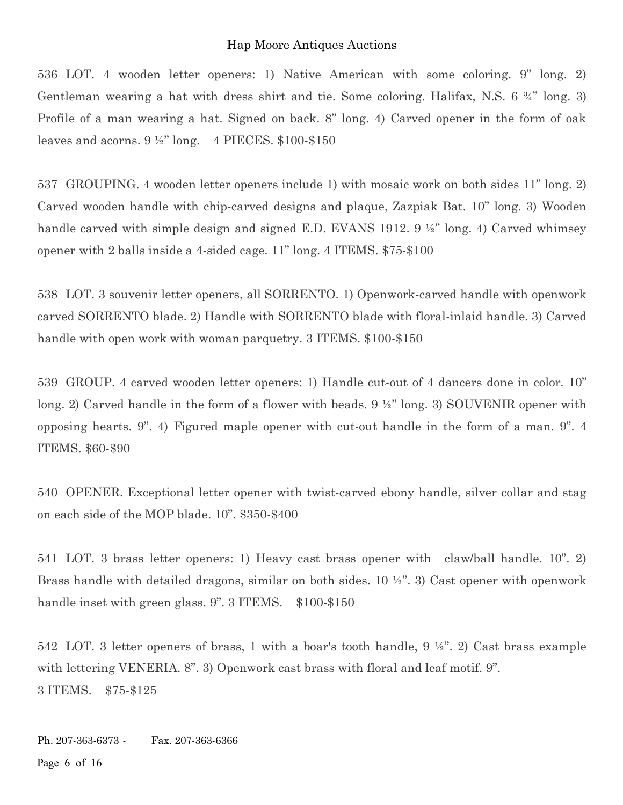536 LOT. 4 wooden letter openers: 1) Native American with some coloring. 9" long. 2) Gentleman wearing a hat with dress shirt and tie. Some coloring. Halifax, N.S. 6 ¾" long. 3) Profile of a man wearing a hat. Signed on back. 8" long. 4) Carved opener in the form of oak leaves and acorns.  $9\frac{1}{2}$ " long. 4 PIECES. \$100-\$150

537 GROUPING. 4 wooden letter openers include 1) with mosaic work on both sides 11" long. 2) Carved wooden handle with chip-carved designs and plaque, Zazpiak Bat. 10" long. 3) Wooden handle carved with simple design and signed E.D. EVANS 1912. 9 ½" long. 4) Carved whimsey opener with 2 balls inside a 4-sided cage. 11" long. 4 ITEMS. \$75-\$100

538 LOT. 3 souvenir letter openers, all SORRENTO. 1) Openwork-carved handle with openwork carved SORRENTO blade. 2) Handle with SORRENTO blade with floral-inlaid handle. 3) Carved handle with open work with woman parquetry. 3 ITEMS. \$100-\$150

539 GROUP. 4 carved wooden letter openers: 1) Handle cut-out of 4 dancers done in color. 10" long. 2) Carved handle in the form of a flower with beads. 9 ½" long. 3) SOUVENIR opener with opposing hearts. 9". 4) Figured maple opener with cut-out handle in the form of a man. 9". 4 ITEMS. \$60-\$90

540 OPENER. Exceptional letter opener with twist-carved ebony handle, silver collar and stag on each side of the MOP blade. 10". \$350-\$400

541 LOT. 3 brass letter openers: 1) Heavy cast brass opener with claw/ball handle. 10". 2) Brass handle with detailed dragons, similar on both sides. 10  $\frac{1}{2}$ ". 3) Cast opener with openwork handle inset with green glass. 9". 3 ITEMS. \$100-\$150

542 LOT. 3 letter openers of brass, 1 with a boar's tooth handle, 9 ½". 2) Cast brass example with lettering VENERIA. 8". 3) Openwork cast brass with floral and leaf motif. 9". 3 ITEMS. \$75-\$125

Ph. 207-363-6373 - Fax. 207-363-6366 Page 6 of 16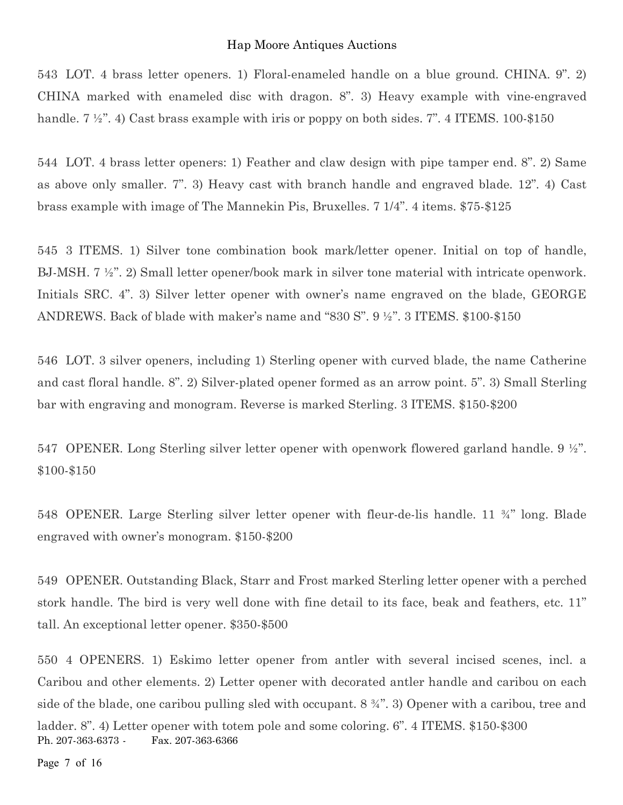543 LOT. 4 brass letter openers. 1) Floral-enameled handle on a blue ground. CHINA. 9". 2) CHINA marked with enameled disc with dragon. 8". 3) Heavy example with vine-engraved handle.  $7 \frac{1}{2}$ , 4) Cast brass example with iris or poppy on both sides. 7". 4 ITEMS. 100-\$150

544 LOT. 4 brass letter openers: 1) Feather and claw design with pipe tamper end. 8". 2) Same as above only smaller. 7". 3) Heavy cast with branch handle and engraved blade. 12". 4) Cast brass example with image of The Mannekin Pis, Bruxelles. 7 1/4". 4 items. \$75-\$125

545 3 ITEMS. 1) Silver tone combination book mark/letter opener. Initial on top of handle, BJ-MSH. 7 ½". 2) Small letter opener/book mark in silver tone material with intricate openwork. Initials SRC. 4". 3) Silver letter opener with owner's name engraved on the blade, GEORGE ANDREWS. Back of blade with maker's name and "830 S". 9 ½". 3 ITEMS. \$100-\$150

546 LOT. 3 silver openers, including 1) Sterling opener with curved blade, the name Catherine and cast floral handle. 8". 2) Silver-plated opener formed as an arrow point. 5". 3) Small Sterling bar with engraving and monogram. Reverse is marked Sterling. 3 ITEMS. \$150-\$200

547 OPENER. Long Sterling silver letter opener with openwork flowered garland handle. 9 ½". \$100-\$150

548 OPENER. Large Sterling silver letter opener with fleur-de-lis handle. 11 ¾" long. Blade engraved with owner's monogram. \$150-\$200

549 OPENER. Outstanding Black, Starr and Frost marked Sterling letter opener with a perched stork handle. The bird is very well done with fine detail to its face, beak and feathers, etc. 11" tall. An exceptional letter opener. \$350-\$500

Ph. 207-363-6373 - Fax. 207-363-6366 550 4 OPENERS. 1) Eskimo letter opener from antler with several incised scenes, incl. a Caribou and other elements. 2) Letter opener with decorated antler handle and caribou on each side of the blade, one caribou pulling sled with occupant. 8 ¾". 3) Opener with a caribou, tree and ladder. 8". 4) Letter opener with totem pole and some coloring. 6". 4 ITEMS. \$150-\$300

Page 7 of 16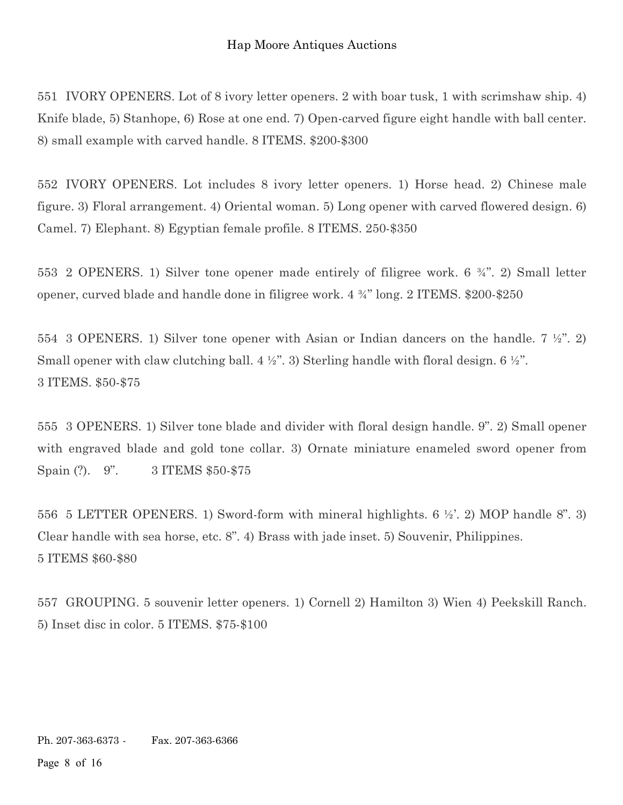551 IVORY OPENERS. Lot of 8 ivory letter openers. 2 with boar tusk, 1 with scrimshaw ship. 4) Knife blade, 5) Stanhope, 6) Rose at one end. 7) Open-carved figure eight handle with ball center. 8) small example with carved handle. 8 ITEMS. \$200-\$300

552 IVORY OPENERS. Lot includes 8 ivory letter openers. 1) Horse head. 2) Chinese male figure. 3) Floral arrangement. 4) Oriental woman. 5) Long opener with carved flowered design. 6) Camel. 7) Elephant. 8) Egyptian female profile. 8 ITEMS. 250-\$350

553 2 OPENERS. 1) Silver tone opener made entirely of filigree work. 6 ¾". 2) Small letter opener, curved blade and handle done in filigree work. 4 ¾" long. 2 ITEMS. \$200-\$250

554 3 OPENERS. 1) Silver tone opener with Asian or Indian dancers on the handle. 7 ½". 2) Small opener with claw clutching ball.  $4\frac{1}{2}$ . 3) Sterling handle with floral design. 6  $\frac{1}{2}$ . 3 ITEMS. \$50-\$75

555 3 OPENERS. 1) Silver tone blade and divider with floral design handle. 9". 2) Small opener with engraved blade and gold tone collar. 3) Ornate miniature enameled sword opener from Spain (?). 9". 3 ITEMS \$50-\$75

556 5 LETTER OPENERS. 1) Sword-form with mineral highlights. 6 ½'. 2) MOP handle 8". 3) Clear handle with sea horse, etc. 8". 4) Brass with jade inset. 5) Souvenir, Philippines. 5 ITEMS \$60-\$80

557 GROUPING. 5 souvenir letter openers. 1) Cornell 2) Hamilton 3) Wien 4) Peekskill Ranch. 5) Inset disc in color. 5 ITEMS. \$75-\$100

Ph. 207-363-6373 - Fax. 207-363-6366

Page 8 of 16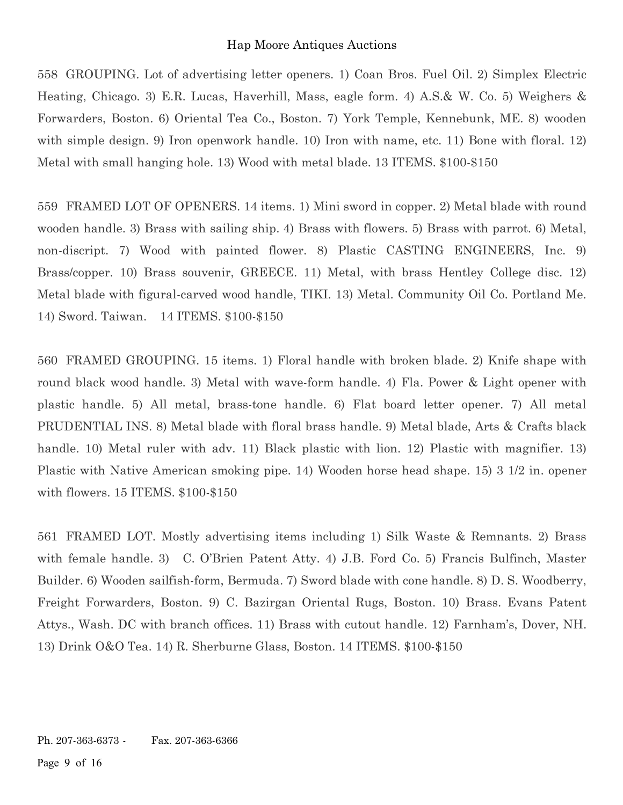558 GROUPING. Lot of advertising letter openers. 1) Coan Bros. Fuel Oil. 2) Simplex Electric Heating, Chicago. 3) E.R. Lucas, Haverhill, Mass, eagle form. 4) A.S.& W. Co. 5) Weighers & Forwarders, Boston. 6) Oriental Tea Co., Boston. 7) York Temple, Kennebunk, ME. 8) wooden with simple design. 9) Iron openwork handle. 10) Iron with name, etc. 11) Bone with floral. 12) Metal with small hanging hole. 13) Wood with metal blade. 13 ITEMS. \$100-\$150

559 FRAMED LOT OF OPENERS. 14 items. 1) Mini sword in copper. 2) Metal blade with round wooden handle. 3) Brass with sailing ship. 4) Brass with flowers. 5) Brass with parrot. 6) Metal, non-discript. 7) Wood with painted flower. 8) Plastic CASTING ENGINEERS, Inc. 9) Brass/copper. 10) Brass souvenir, GREECE. 11) Metal, with brass Hentley College disc. 12) Metal blade with figural-carved wood handle, TIKI. 13) Metal. Community Oil Co. Portland Me. 14) Sword. Taiwan. 14 ITEMS. \$100-\$150

560 FRAMED GROUPING. 15 items. 1) Floral handle with broken blade. 2) Knife shape with round black wood handle. 3) Metal with wave-form handle. 4) Fla. Power & Light opener with plastic handle. 5) All metal, brass-tone handle. 6) Flat board letter opener. 7) All metal PRUDENTIAL INS. 8) Metal blade with floral brass handle. 9) Metal blade, Arts & Crafts black handle. 10) Metal ruler with adv. 11) Black plastic with lion. 12) Plastic with magnifier. 13) Plastic with Native American smoking pipe. 14) Wooden horse head shape. 15) 3 1/2 in. opener with flowers. 15 ITEMS. \$100-\$150

561 FRAMED LOT. Mostly advertising items including 1) Silk Waste & Remnants. 2) Brass with female handle. 3) C. O'Brien Patent Atty. 4) J.B. Ford Co. 5) Francis Bulfinch, Master Builder. 6) Wooden sailfish-form, Bermuda. 7) Sword blade with cone handle. 8) D. S. Woodberry, Freight Forwarders, Boston. 9) C. Bazirgan Oriental Rugs, Boston. 10) Brass. Evans Patent Attys., Wash. DC with branch offices. 11) Brass with cutout handle. 12) Farnham's, Dover, NH. 13) Drink O&O Tea. 14) R. Sherburne Glass, Boston. 14 ITEMS. \$100-\$150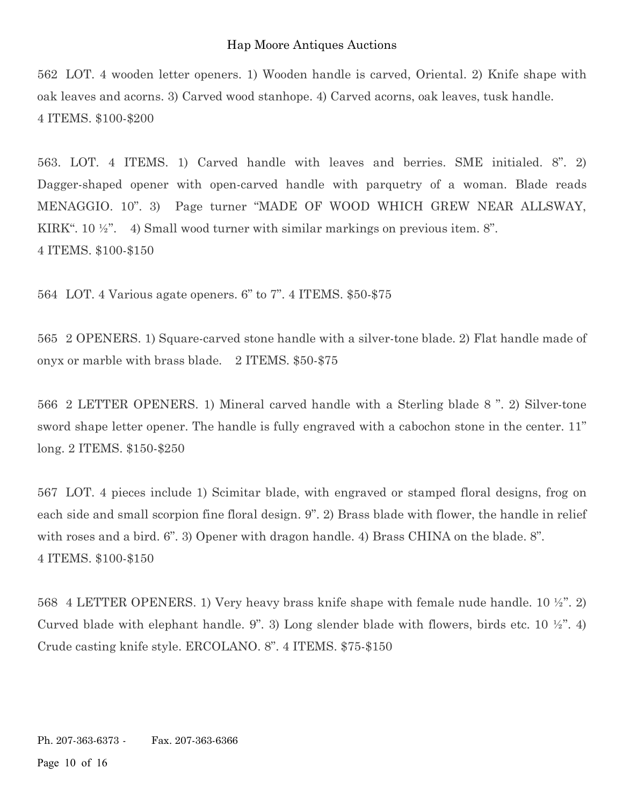562 LOT. 4 wooden letter openers. 1) Wooden handle is carved, Oriental. 2) Knife shape with oak leaves and acorns. 3) Carved wood stanhope. 4) Carved acorns, oak leaves, tusk handle. 4 ITEMS. \$100-\$200

563. LOT. 4 ITEMS. 1) Carved handle with leaves and berries. SME initialed. 8". 2) Dagger-shaped opener with open-carved handle with parquetry of a woman. Blade reads MENAGGIO. 10". 3) Page turner "MADE OF WOOD WHICH GREW NEAR ALLSWAY, KIRK". 10 ½". 4) Small wood turner with similar markings on previous item. 8". 4 ITEMS. \$100-\$150

564 LOT. 4 Various agate openers. 6" to 7". 4 ITEMS. \$50-\$75

565 2 OPENERS. 1) Square-carved stone handle with a silver-tone blade. 2) Flat handle made of onyx or marble with brass blade. 2 ITEMS. \$50-\$75

566 2 LETTER OPENERS. 1) Mineral carved handle with a Sterling blade 8 ". 2) Silver-tone sword shape letter opener. The handle is fully engraved with a cabochon stone in the center. 11" long. 2 ITEMS. \$150-\$250

567 LOT. 4 pieces include 1) Scimitar blade, with engraved or stamped floral designs, frog on each side and small scorpion fine floral design. 9". 2) Brass blade with flower, the handle in relief with roses and a bird. 6". 3) Opener with dragon handle. 4) Brass CHINA on the blade. 8". 4 ITEMS. \$100-\$150

568 4 LETTER OPENERS. 1) Very heavy brass knife shape with female nude handle. 10 ½". 2) Curved blade with elephant handle. 9". 3) Long slender blade with flowers, birds etc. 10  $\frac{1}{2}$ ". 4) Crude casting knife style. ERCOLANO. 8". 4 ITEMS. \$75-\$150

Ph. 207-363-6373 - Fax. 207-363-6366

Page 10 of 16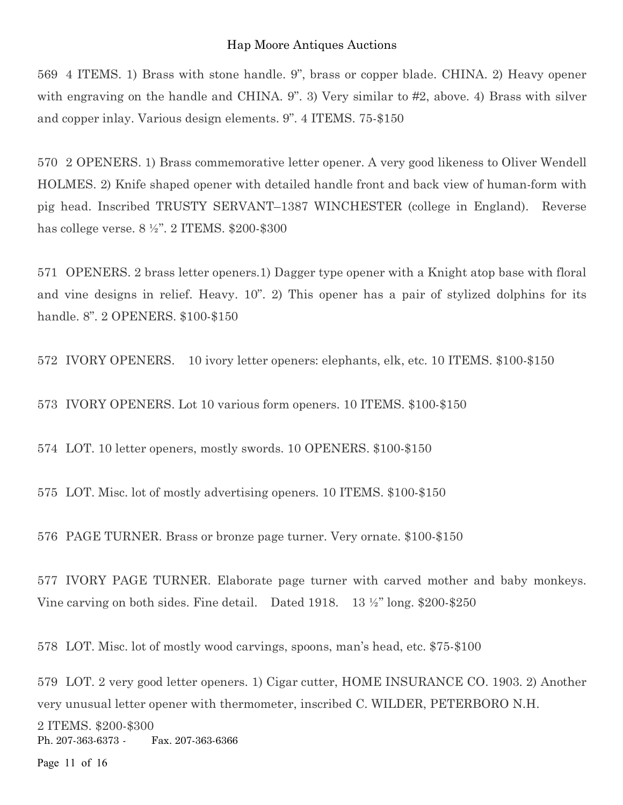569 4 ITEMS. 1) Brass with stone handle. 9", brass or copper blade. CHINA. 2) Heavy opener with engraving on the handle and CHINA. 9". 3) Very similar to #2, above. 4) Brass with silver and copper inlay. Various design elements. 9". 4 ITEMS. 75-\$150

570 2 OPENERS. 1) Brass commemorative letter opener. A very good likeness to Oliver Wendell HOLMES. 2) Knife shaped opener with detailed handle front and back view of human-form with pig head. Inscribed TRUSTY SERVANT–1387 WINCHESTER (college in England). Reverse has college verse. 8 ½". 2 ITEMS. \$200-\$300

571 OPENERS. 2 brass letter openers.1) Dagger type opener with a Knight atop base with floral and vine designs in relief. Heavy. 10". 2) This opener has a pair of stylized dolphins for its handle. 8". 2 OPENERS. \$100-\$150

572 IVORY OPENERS. 10 ivory letter openers: elephants, elk, etc. 10 ITEMS. \$100-\$150

573 IVORY OPENERS. Lot 10 various form openers. 10 ITEMS. \$100-\$150

574 LOT. 10 letter openers, mostly swords. 10 OPENERS. \$100-\$150

575 LOT. Misc. lot of mostly advertising openers. 10 ITEMS. \$100-\$150

576 PAGE TURNER. Brass or bronze page turner. Very ornate. \$100-\$150

577 IVORY PAGE TURNER. Elaborate page turner with carved mother and baby monkeys. Vine carving on both sides. Fine detail. Dated 1918. 13 ½" long. \$200-\$250

578 LOT. Misc. lot of mostly wood carvings, spoons, man's head, etc. \$75-\$100

579 LOT. 2 very good letter openers. 1) Cigar cutter, HOME INSURANCE CO. 1903. 2) Another very unusual letter opener with thermometer, inscribed C. WILDER, PETERBORO N.H.

Ph. 207-363-6373 - Fax. 207-363-6366 2 ITEMS. \$200-\$300

Page 11 of 16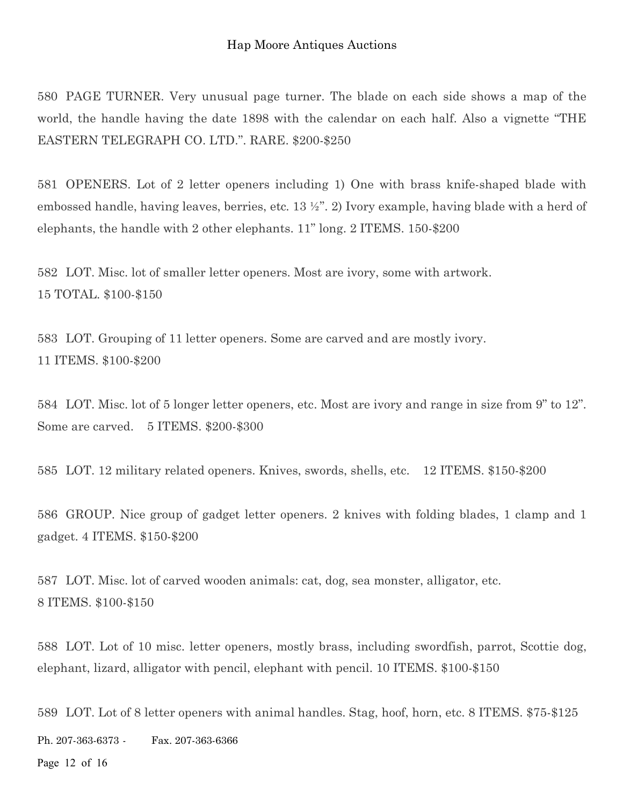580 PAGE TURNER. Very unusual page turner. The blade on each side shows a map of the world, the handle having the date 1898 with the calendar on each half. Also a vignette "THE EASTERN TELEGRAPH CO. LTD.". RARE. \$200-\$250

581 OPENERS. Lot of 2 letter openers including 1) One with brass knife-shaped blade with embossed handle, having leaves, berries, etc. 13 ½". 2) Ivory example, having blade with a herd of elephants, the handle with 2 other elephants. 11" long. 2 ITEMS. 150-\$200

582 LOT. Misc. lot of smaller letter openers. Most are ivory, some with artwork. 15 TOTAL. \$100-\$150

583 LOT. Grouping of 11 letter openers. Some are carved and are mostly ivory. 11 ITEMS. \$100-\$200

584 LOT. Misc. lot of 5 longer letter openers, etc. Most are ivory and range in size from 9" to 12". Some are carved. 5 ITEMS. \$200-\$300

585 LOT. 12 military related openers. Knives, swords, shells, etc. 12 ITEMS. \$150-\$200

586 GROUP. Nice group of gadget letter openers. 2 knives with folding blades, 1 clamp and 1 gadget. 4 ITEMS. \$150-\$200

587 LOT. Misc. lot of carved wooden animals: cat, dog, sea monster, alligator, etc. 8 ITEMS. \$100-\$150

588 LOT. Lot of 10 misc. letter openers, mostly brass, including swordfish, parrot, Scottie dog, elephant, lizard, alligator with pencil, elephant with pencil. 10 ITEMS. \$100-\$150

Ph. 207-363-6373 - Fax. 207-363-6366 Page 12 of 16 589 LOT. Lot of 8 letter openers with animal handles. Stag, hoof, horn, etc. 8 ITEMS. \$75-\$125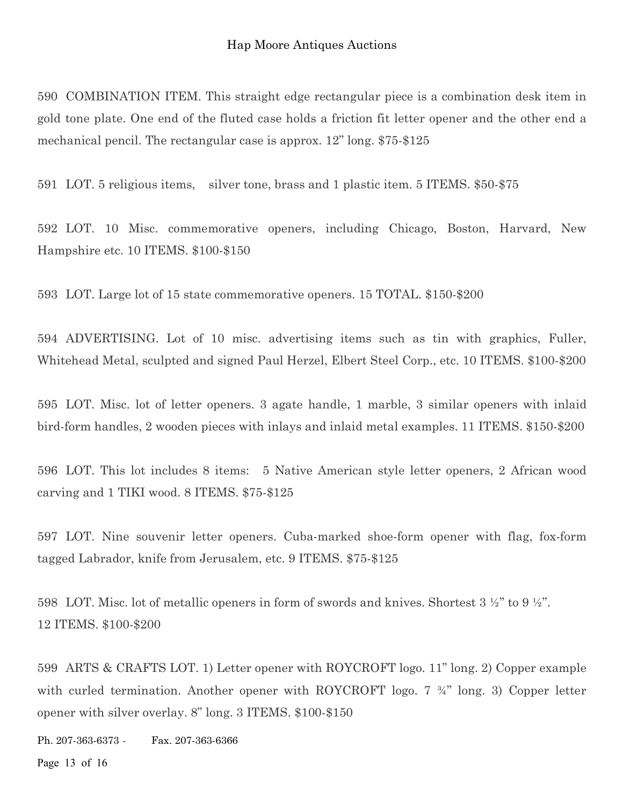590 COMBINATION ITEM. This straight edge rectangular piece is a combination desk item in gold tone plate. One end of the fluted case holds a friction fit letter opener and the other end a mechanical pencil. The rectangular case is approx. 12" long. \$75-\$125

591 LOT. 5 religious items, silver tone, brass and 1 plastic item. 5 ITEMS. \$50-\$75

592 LOT. 10 Misc. commemorative openers, including Chicago, Boston, Harvard, New Hampshire etc. 10 ITEMS. \$100-\$150

593 LOT. Large lot of 15 state commemorative openers. 15 TOTAL. \$150-\$200

594 ADVERTISING. Lot of 10 misc. advertising items such as tin with graphics, Fuller, Whitehead Metal, sculpted and signed Paul Herzel, Elbert Steel Corp., etc. 10 ITEMS. \$100-\$200

595 LOT. Misc. lot of letter openers. 3 agate handle, 1 marble, 3 similar openers with inlaid bird-form handles, 2 wooden pieces with inlays and inlaid metal examples. 11 ITEMS. \$150-\$200

596 LOT. This lot includes 8 items: 5 Native American style letter openers, 2 African wood carving and 1 TIKI wood. 8 ITEMS. \$75-\$125

597 LOT. Nine souvenir letter openers. Cuba-marked shoe-form opener with flag, fox-form tagged Labrador, knife from Jerusalem, etc. 9 ITEMS. \$75-\$125

598 LOT. Misc. lot of metallic openers in form of swords and knives. Shortest 3 ½" to 9 ½". 12 ITEMS. \$100-\$200

599 ARTS & CRAFTS LOT. 1) Letter opener with ROYCROFT logo. 11" long. 2) Copper example with curled termination. Another opener with ROYCROFT logo. 7  $\frac{3}{4}$ " long. 3) Copper letter opener with silver overlay. 8" long. 3 ITEMS. \$100-\$150

Ph. 207-363-6373 - Fax. 207-363-6366

Page 13 of 16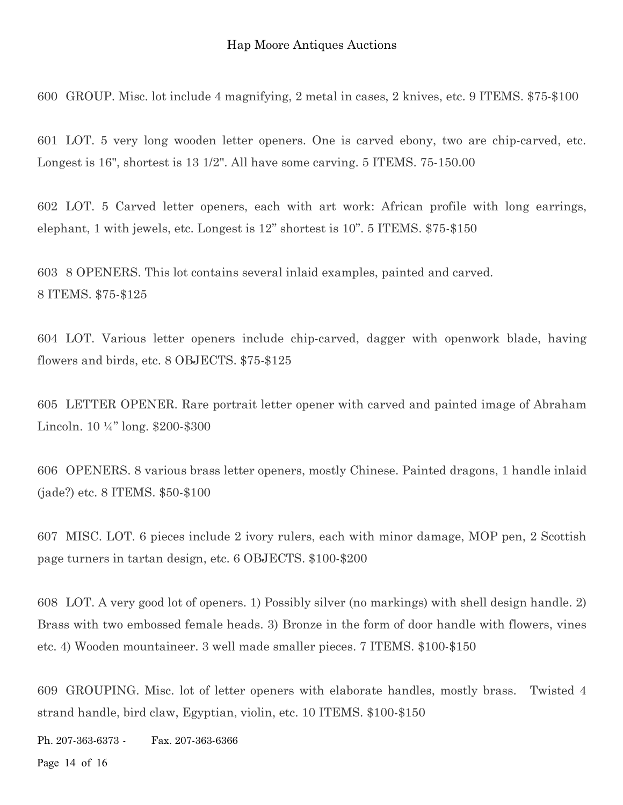600 GROUP. Misc. lot include 4 magnifying, 2 metal in cases, 2 knives, etc. 9 ITEMS. \$75-\$100

601 LOT. 5 very long wooden letter openers. One is carved ebony, two are chip-carved, etc. Longest is 16", shortest is 13 1/2". All have some carving. 5 ITEMS. 75-150.00

602 LOT. 5 Carved letter openers, each with art work: African profile with long earrings, elephant, 1 with jewels, etc. Longest is 12" shortest is 10". 5 ITEMS. \$75-\$150

603 8 OPENERS. This lot contains several inlaid examples, painted and carved. 8 ITEMS. \$75-\$125

604 LOT. Various letter openers include chip-carved, dagger with openwork blade, having flowers and birds, etc. 8 OBJECTS. \$75-\$125

605 LETTER OPENER. Rare portrait letter opener with carved and painted image of Abraham Lincoln. 10 ¼" long. \$200-\$300

606 OPENERS. 8 various brass letter openers, mostly Chinese. Painted dragons, 1 handle inlaid (jade?) etc. 8 ITEMS. \$50-\$100

607 MISC. LOT. 6 pieces include 2 ivory rulers, each with minor damage, MOP pen, 2 Scottish page turners in tartan design, etc. 6 OBJECTS. \$100-\$200

608 LOT. A very good lot of openers. 1) Possibly silver (no markings) with shell design handle. 2) Brass with two embossed female heads. 3) Bronze in the form of door handle with flowers, vines etc. 4) Wooden mountaineer. 3 well made smaller pieces. 7 ITEMS. \$100-\$150

609 GROUPING. Misc. lot of letter openers with elaborate handles, mostly brass. Twisted 4 strand handle, bird claw, Egyptian, violin, etc. 10 ITEMS. \$100-\$150

Ph. 207-363-6373 - Fax. 207-363-6366

Page 14 of 16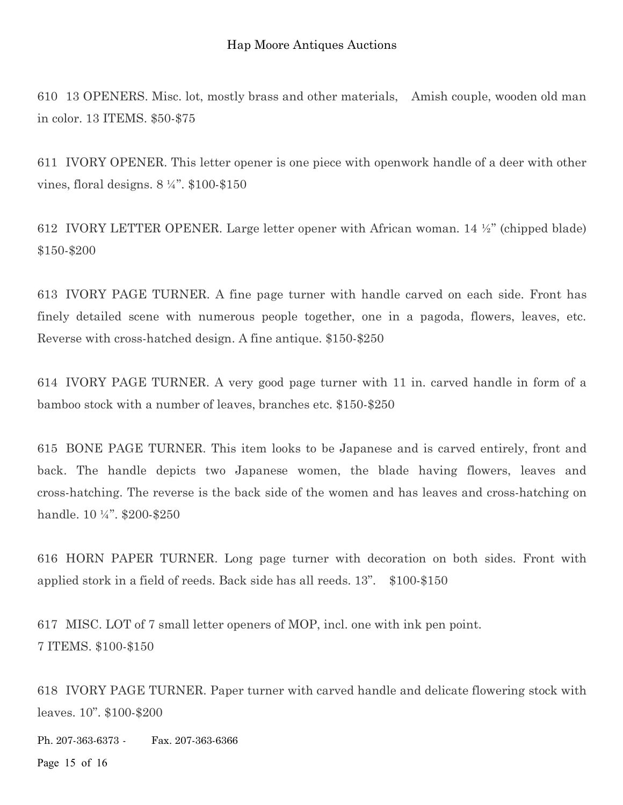610 13 OPENERS. Misc. lot, mostly brass and other materials, Amish couple, wooden old man in color. 13 ITEMS. \$50-\$75

611 IVORY OPENER. This letter opener is one piece with openwork handle of a deer with other vines, floral designs. 8 ¼". \$100-\$150

612 IVORY LETTER OPENER. Large letter opener with African woman. 14  $\frac{1}{2}$ " (chipped blade) \$150-\$200

613 IVORY PAGE TURNER. A fine page turner with handle carved on each side. Front has finely detailed scene with numerous people together, one in a pagoda, flowers, leaves, etc. Reverse with cross-hatched design. A fine antique. \$150-\$250

614 IVORY PAGE TURNER. A very good page turner with 11 in. carved handle in form of a bamboo stock with a number of leaves, branches etc. \$150-\$250

615 BONE PAGE TURNER. This item looks to be Japanese and is carved entirely, front and back. The handle depicts two Japanese women, the blade having flowers, leaves and cross-hatching. The reverse is the back side of the women and has leaves and cross-hatching on handle. 10 1/4". \$200-\$250

616 HORN PAPER TURNER. Long page turner with decoration on both sides. Front with applied stork in a field of reeds. Back side has all reeds. 13". \$100-\$150

617 MISC. LOT of 7 small letter openers of MOP, incl. one with ink pen point. 7 ITEMS. \$100-\$150

618 IVORY PAGE TURNER. Paper turner with carved handle and delicate flowering stock with leaves. 10". \$100-\$200

Ph. 207-363-6373 - Fax. 207-363-6366

Page 15 of 16